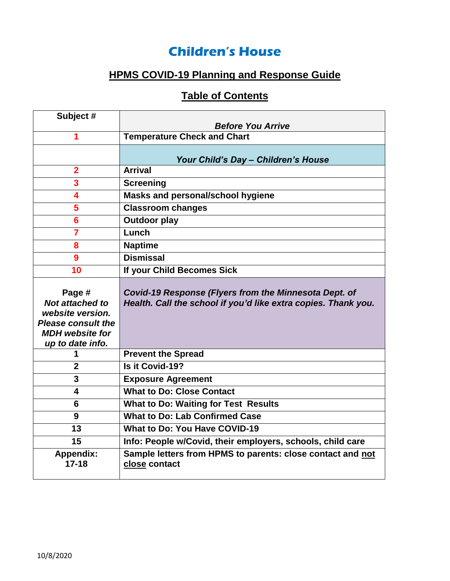## **Children's House**

# **HPMS COVID-19 Planning and Response Guide**

## **Table of Contents**

| Subject #                                                                                                                       |                                                                                                                         |
|---------------------------------------------------------------------------------------------------------------------------------|-------------------------------------------------------------------------------------------------------------------------|
|                                                                                                                                 | <b>Before You Arrive</b>                                                                                                |
| 1                                                                                                                               | <b>Temperature Check and Chart</b>                                                                                      |
|                                                                                                                                 |                                                                                                                         |
|                                                                                                                                 | Your Child's Day - Children's House                                                                                     |
| $\overline{2}$                                                                                                                  | <b>Arrival</b>                                                                                                          |
| 3                                                                                                                               | <b>Screening</b>                                                                                                        |
| 4                                                                                                                               | Masks and personal/school hygiene                                                                                       |
| 5                                                                                                                               | <b>Classroom changes</b>                                                                                                |
| 6                                                                                                                               | <b>Outdoor play</b>                                                                                                     |
| $\overline{\mathbf{7}}$                                                                                                         | Lunch                                                                                                                   |
| 8                                                                                                                               | <b>Naptime</b>                                                                                                          |
| 9                                                                                                                               | <b>Dismissal</b>                                                                                                        |
| 10                                                                                                                              | If your Child Becomes Sick                                                                                              |
| Page #<br><b>Not attached to</b><br>website version.<br><b>Please consult the</b><br><b>MDH</b> website for<br>up to date info. | Covid-19 Response (Flyers from the Minnesota Dept. of<br>Health. Call the school if you'd like extra copies. Thank you. |
| 1                                                                                                                               | <b>Prevent the Spread</b>                                                                                               |
| $\mathbf 2$                                                                                                                     | Is it Covid-19?                                                                                                         |
| 3                                                                                                                               | <b>Exposure Agreement</b>                                                                                               |
| 4                                                                                                                               | <b>What to Do: Close Contact</b>                                                                                        |
| 6                                                                                                                               | <b>What to Do: Waiting for Test Results</b>                                                                             |
| 9                                                                                                                               | <b>What to Do: Lab Confirmed Case</b>                                                                                   |
| 13                                                                                                                              | <b>What to Do: You Have COVID-19</b>                                                                                    |
| 15                                                                                                                              | Info: People w/Covid, their employers, schools, child care                                                              |
| <b>Appendix:</b><br>$17 - 18$                                                                                                   | Sample letters from HPMS to parents: close contact and not<br>close contact                                             |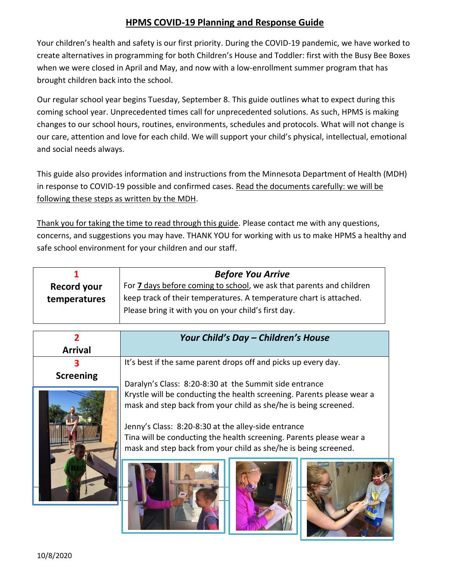#### **HPMS COVID-19 Planning and Response Guide**

Your children's health and safety is our first priority. During the COVID-19 pandemic, we have worked to create alternatives in programming for both Children's House and Toddler: first with the Busy Bee Boxes when we were closed in April and May, and now with a low-enrollment summer program that has brought children back into the school.

Our regular school year begins Tuesday, September 8. This guide outlines what to expect during this coming school year. Unprecedented times call for unprecedented solutions. As such, HPMS is making changes to our school hours, routines, environments, schedules and protocols. What will not change is our care, attention and love for each child. We will support your child's physical, intellectual, emotional and social needs always.

This guide also provides information and instructions from the Minnesota Department of Health (MDH) in response to COVID-19 possible and confirmed cases. Read the documents carefully: we will be following these steps as written by the MDH.

Thank you for taking the time to read through this guide. Please contact me with any questions, concerns, and suggestions you may have. THANK YOU for working with us to make HPMS a healthy and safe school environment for your children and our staff.

| <b>Before You Arrive</b>                                                    |
|-----------------------------------------------------------------------------|
| For <b>7</b> days before coming to school, we ask that parents and children |
| keep track of their temperatures. A temperature chart is attached.          |
| Please bring it with you on your child's first day.                         |
|                                                                             |

|                  | Your Child's Day - Children's House                                                                                                                                                                                                                                                                                                        |
|------------------|--------------------------------------------------------------------------------------------------------------------------------------------------------------------------------------------------------------------------------------------------------------------------------------------------------------------------------------------|
| <b>Arrival</b>   |                                                                                                                                                                                                                                                                                                                                            |
|                  | It's best if the same parent drops off and picks up every day.                                                                                                                                                                                                                                                                             |
| <b>Screening</b> | Daralyn's Class: 8:20-8:30 at the Summit side entrance                                                                                                                                                                                                                                                                                     |
|                  | Krystle will be conducting the health screening. Parents please wear a<br>mask and step back from your child as she/he is being screened.<br>Jenny's Class: 8:20-8:30 at the alley-side entrance<br>Tina will be conducting the health screening. Parents please wear a<br>mask and step back from your child as she/he is being screened. |
|                  |                                                                                                                                                                                                                                                                                                                                            |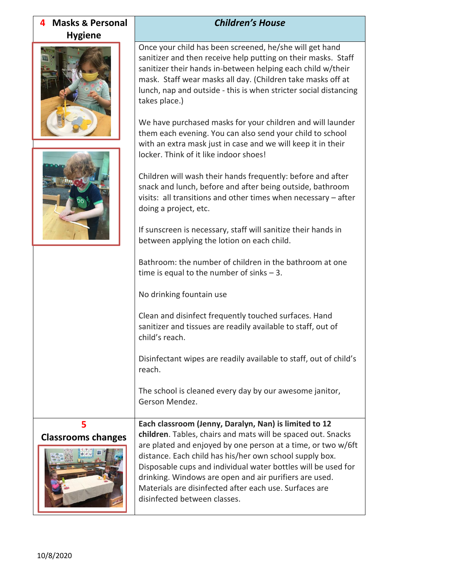| <b>Masks &amp; Personal</b><br>4 | <b>Children's House</b>                                                                                                                                                                                                                                                                                                                                                                                                                                                                                                                                                                                                                                                                                                                                                                                                                                                                                                                                                                                                                                      |
|----------------------------------|--------------------------------------------------------------------------------------------------------------------------------------------------------------------------------------------------------------------------------------------------------------------------------------------------------------------------------------------------------------------------------------------------------------------------------------------------------------------------------------------------------------------------------------------------------------------------------------------------------------------------------------------------------------------------------------------------------------------------------------------------------------------------------------------------------------------------------------------------------------------------------------------------------------------------------------------------------------------------------------------------------------------------------------------------------------|
| <b>Hygiene</b>                   | Once your child has been screened, he/she will get hand<br>sanitizer and then receive help putting on their masks. Staff<br>sanitizer their hands in-between helping each child w/their<br>mask. Staff wear masks all day. (Children take masks off at<br>lunch, nap and outside - this is when stricter social distancing<br>takes place.)<br>We have purchased masks for your children and will launder<br>them each evening. You can also send your child to school<br>with an extra mask just in case and we will keep it in their<br>locker. Think of it like indoor shoes!<br>Children will wash their hands frequently: before and after<br>snack and lunch, before and after being outside, bathroom<br>visits: all transitions and other times when necessary - after<br>doing a project, etc.<br>If sunscreen is necessary, staff will sanitize their hands in<br>between applying the lotion on each child.<br>Bathroom: the number of children in the bathroom at one<br>time is equal to the number of sinks $-3$ .<br>No drinking fountain use |
|                                  | Clean and disinfect frequently touched surfaces. Hand<br>sanitizer and tissues are readily available to staff, out of<br>child's reach.                                                                                                                                                                                                                                                                                                                                                                                                                                                                                                                                                                                                                                                                                                                                                                                                                                                                                                                      |
|                                  | Disinfectant wipes are readily available to staff, out of child's<br>reach.                                                                                                                                                                                                                                                                                                                                                                                                                                                                                                                                                                                                                                                                                                                                                                                                                                                                                                                                                                                  |
|                                  | The school is cleaned every day by our awesome janitor,<br>Gerson Mendez.                                                                                                                                                                                                                                                                                                                                                                                                                                                                                                                                                                                                                                                                                                                                                                                                                                                                                                                                                                                    |
| 5<br><b>Classrooms changes</b>   | Each classroom (Jenny, Daralyn, Nan) is limited to 12<br>children. Tables, chairs and mats will be spaced out. Snacks<br>are plated and enjoyed by one person at a time, or two w/6ft<br>distance. Each child has his/her own school supply box.<br>Disposable cups and individual water bottles will be used for<br>drinking. Windows are open and air purifiers are used.<br>Materials are disinfected after each use. Surfaces are<br>disinfected between classes.                                                                                                                                                                                                                                                                                                                                                                                                                                                                                                                                                                                        |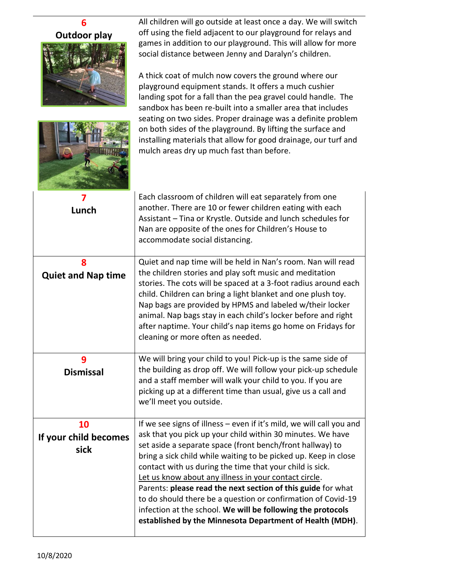| 6                                   | All children will go outside at least once a day. We will switch                                                                                                                                                                                                                                                                                                                                                                                                                                                                                                                                                                                   |
|-------------------------------------|----------------------------------------------------------------------------------------------------------------------------------------------------------------------------------------------------------------------------------------------------------------------------------------------------------------------------------------------------------------------------------------------------------------------------------------------------------------------------------------------------------------------------------------------------------------------------------------------------------------------------------------------------|
| <b>Outdoor play</b>                 | off using the field adjacent to our playground for relays and                                                                                                                                                                                                                                                                                                                                                                                                                                                                                                                                                                                      |
|                                     | games in addition to our playground. This will allow for more<br>social distance between Jenny and Daralyn's children.                                                                                                                                                                                                                                                                                                                                                                                                                                                                                                                             |
|                                     | A thick coat of mulch now covers the ground where our<br>playground equipment stands. It offers a much cushier<br>landing spot for a fall than the pea gravel could handle. The<br>sandbox has been re-built into a smaller area that includes<br>seating on two sides. Proper drainage was a definite problem                                                                                                                                                                                                                                                                                                                                     |
|                                     | on both sides of the playground. By lifting the surface and<br>installing materials that allow for good drainage, our turf and<br>mulch areas dry up much fast than before.                                                                                                                                                                                                                                                                                                                                                                                                                                                                        |
| Lunch                               | Each classroom of children will eat separately from one<br>another. There are 10 or fewer children eating with each<br>Assistant - Tina or Krystle. Outside and lunch schedules for<br>Nan are opposite of the ones for Children's House to<br>accommodate social distancing.                                                                                                                                                                                                                                                                                                                                                                      |
| 8<br><b>Quiet and Nap time</b>      | Quiet and nap time will be held in Nan's room. Nan will read<br>the children stories and play soft music and meditation<br>stories. The cots will be spaced at a 3-foot radius around each<br>child. Children can bring a light blanket and one plush toy.<br>Nap bags are provided by HPMS and labeled w/their locker<br>animal. Nap bags stay in each child's locker before and right<br>after naptime. Your child's nap items go home on Fridays for<br>cleaning or more often as needed.                                                                                                                                                       |
| 9<br><b>Dismissal</b>               | We will bring your child to you! Pick-up is the same side of<br>the building as drop off. We will follow your pick-up schedule<br>and a staff member will walk your child to you. If you are<br>picking up at a different time than usual, give us a call and<br>we'll meet you outside.                                                                                                                                                                                                                                                                                                                                                           |
| 10<br>If your child becomes<br>sick | If we see signs of illness - even if it's mild, we will call you and<br>ask that you pick up your child within 30 minutes. We have<br>set aside a separate space (front bench/front hallway) to<br>bring a sick child while waiting to be picked up. Keep in close<br>contact with us during the time that your child is sick.<br>Let us know about any illness in your contact circle.<br>Parents: please read the next section of this guide for what<br>to do should there be a question or confirmation of Covid-19<br>infection at the school. We will be following the protocols<br>established by the Minnesota Department of Health (MDH). |